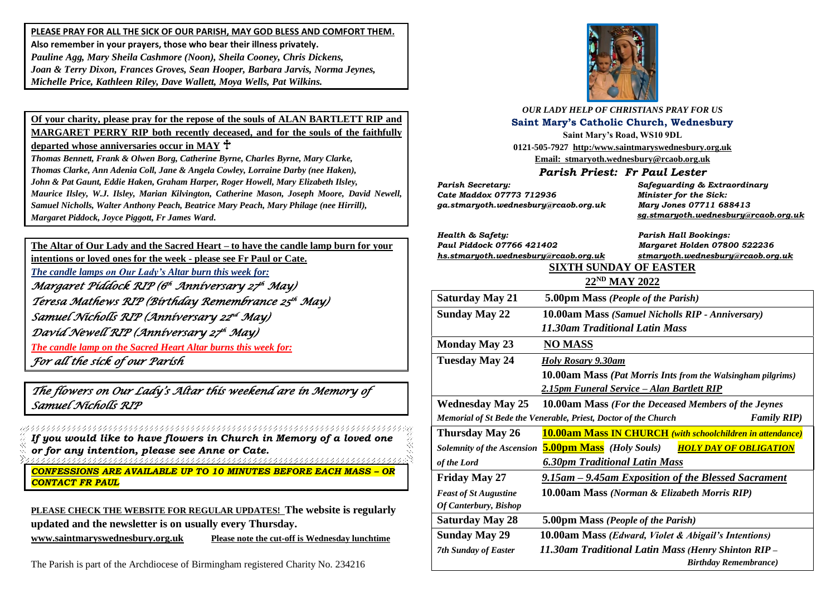**PLEASE PRAY FOR ALL THE SICK OF OUR PARISH, MAY GOD BLESS AND COMFORT THEM. Also remember in your prayers, those who bear their illness privately.** *Pauline Agg, Mary Sheila Cashmore (Noon), Sheila Cooney, Chris Dickens, Joan & Terry Dixon, Frances Groves, Sean Hooper, Barbara Jarvis, Norma Jeynes, Michelle Price, Kathleen Riley, Dave Wallett, Moya Wells, Pat Wilkins.*

**Of your charity, please pray for the repose of the souls of ALAN BARTLETT RIP and MARGARET PERRY RIP both recently deceased, and for the souls of the faithfully departed whose anniversaries occur in MAY**

*Thomas Bennett, Frank & Olwen Borg, Catherine Byrne, Charles Byrne, Mary Clarke, Thomas Clarke, Ann Adenia Coll, Jane & Angela Cowley, Lorraine Darby (nee Haken), John & Pat Gaunt, Eddie Haken, Graham Harper, Roger Howell, Mary Elizabeth Ilsley, Maurice Ilsley, W.J. Ilsley, Marian Kilvington, Catherine Mason, Joseph Moore, David Newell, Samuel Nicholls, Walter Anthony Peach, Beatrice Mary Peach, Mary Philage (nee Hirrill), Margaret Piddock, Joyce Piggott, Fr James Ward.*

**The Altar of Our Lady and the Sacred Heart – to have the candle lamp burn for your** 

**intentions or loved ones for the week - please see Fr Paul or Cate.**

*The candle lamps on Our Lady's Altar burn this week for:*

*Margaret Piddock RIP (6 th Anniversary 27 th May) Teresa Mathews RIP (Birthday Remembrance 25 th May)*  Samuel Nícholls RIP (Anníversary 22<sup>nd</sup> May) *David Newell RIP (Anniversary 27 th May) The candle lamp on the Sacred Heart Altar burns this week for: For all the sick of our Parish* 

*The flowers on Our Lady's Altar this weekend are in Memory of Samuel Nicholls RIP* 

*If you would like to have flowers in Church in Memory of a loved one or for any intention, please see Anne or Cate.*

*CONFESSIONS ARE AVAILABLE UP TO 10 MINUTES BEFORE EACH MASS – OR CONTACT FR PAUL*

**PLEASE CHECK THE WEBSITE FOR REGULAR UPDATES! The website is regularly updated and the newsletter is on usually every Thursday.** 

**[www.saintmaryswednesbury.org.uk](http://www.saintmaryswednesbury.org.uk/) Please note the cut-off is Wednesday lunchtime**

The Parish is part of the Archdiocese of Birmingham registered Charity No. 234216



*OUR LADY HELP OF CHRISTIANS PRAY FOR US* **Saint Mary's Catholic Church, Wednesbury Saint Mary's Road, WS10 9DL 0121-505-7927 http:/www.saintmaryswednesbury.org.uk**

**Email: stmaryoth.wednesbury@rcaob.org.uk**

## *Parish Priest: Fr Paul Lester*

*Parish Secretary: Safeguarding & Extraordinary Cate Maddox 07773 712936 Minister for the Sick: ga.stmaryoth.wednesbury@rcaob.org.uk Mary Jones 07711 688413*

*Health & Safety: Parish Hall Bookings: Paul Piddock 07766 421402 Margaret Holden 07800 522236*

 *[sg.stmaryoth.wednesbury@rcaob.org.uk](mailto:sg.stmaryoth.wednesbury@rcaob.org.uk)*

*[hs.stmaryoth.wednesbury@rcaob.org.uk](mailto:hs.stmaryoth.wednesbury@rcaob.org.uk) stmaryoth.wednesbury@rcaob.org.uk*

# **SIXTH SUNDAY OF EASTER**

### **22ND MAY 2022 Saturday May 21 5.00pm Mass** *(People of the Parish)*

| $S$ aturuay iyiay $\angle$ 1                                                          | 5.00PM INTUS ( <i>Feople 0</i> ] the Furish)                       |
|---------------------------------------------------------------------------------------|--------------------------------------------------------------------|
| <b>Sunday May 22</b>                                                                  | <b>10.00am Mass (Samuel Nicholls RIP - Anniversary)</b>            |
|                                                                                       | 11.30am Traditional Latin Mass                                     |
| <b>Monday May 23</b>                                                                  | <b>NO MASS</b>                                                     |
| Tuesday May 24                                                                        | <b>Holy Rosary 9.30am</b>                                          |
|                                                                                       | <b>10.00am Mass (Pat Morris Ints from the Walsingham pilgrims)</b> |
|                                                                                       | 2.15pm Funeral Service – Alan Bartlett RIP                         |
| <b>Wednesday May 25</b>                                                               | <b>10.00am Mass (For the Deceased Members of the Jeynes)</b>       |
| <b>Family RIP)</b><br>Memorial of St Bede the Venerable, Priest, Doctor of the Church |                                                                    |
| <b>Thursday May 26</b>                                                                | <b>10.00am Mass IN CHURCH</b> (with schoolchildren in attendance)  |
| <b>Solemnity of the Ascension</b>                                                     | <b>5.00pm Mass</b> (Holy Souls)<br><b>HOLY DAY OF OBLIGATION</b>   |
| of the Lord                                                                           | <b>6.30pm Traditional Latin Mass</b>                               |
| <b>Friday May 27</b>                                                                  | 9.15am – 9.45am Exposition of the Blessed Sacrament                |
| <b>Feast of St Augustine</b>                                                          | 10.00am Mass (Norman & Elizabeth Morris RIP)                       |
| <b>Of Canterbury</b> , Bishop                                                         |                                                                    |
| <b>Saturday May 28</b>                                                                | 5.00pm Mass (People of the Parish)                                 |
| <b>Sunday May 29</b>                                                                  | 10.00am Mass (Edward, Violet & Abigail's Intentions)               |
| <b>7th Sunday of Easter</b>                                                           | 11.30am Traditional Latin Mass (Henry Shinton RIP -                |
|                                                                                       | <b>Birthday Remembrance</b> )                                      |